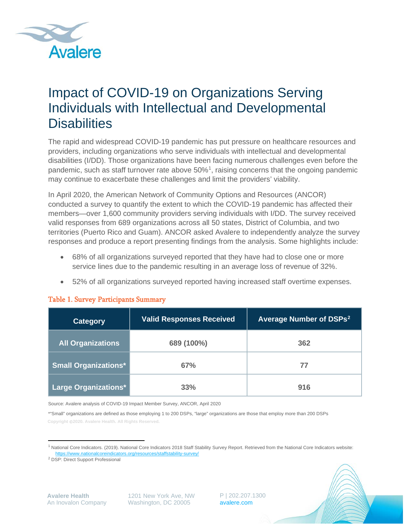

# Impact of COVID-19 on Organizations Serving Individuals with Intellectual and Developmental **Disabilities**

The rapid and widespread COVID-19 pandemic has put pressure on healthcare resources and providers, including organizations who serve individuals with intellectual and developmental disabilities (I/DD). Those organizations have been facing numerous challenges even before the pandemic, such as staff turnover rate above 50%<sup>[1](#page-0-0)</sup>, raising concerns that the ongoing pandemic may continue to exacerbate these challenges and limit the providers' viability.

In April 2020, the American Network of Community Options and Resources (ANCOR) conducted a survey to quantify the extent to which the COVID-19 pandemic has affected their members—over 1,600 community providers serving individuals with I/DD. The survey received valid responses from 689 organizations across all 50 states, District of Columbia, and two territories (Puerto Rico and Guam). ANCOR asked Avalere to independently analyze the survey responses and produce a report presenting findings from the analysis. Some highlights include:

- 68% of all organizations surveyed reported that they have had to close one or more service lines due to the pandemic resulting in an average loss of revenue of 32%.
- 52% of all organizations surveyed reported having increased staff overtime expenses.

| <b>Category</b>             | <b>Valid Responses Received</b> | Average Number of DSPs <sup>2</sup> |  |
|-----------------------------|---------------------------------|-------------------------------------|--|
| <b>All Organizations</b>    | 689 (100%)                      | 362                                 |  |
| <b>Small Organizations*</b> | 67%                             |                                     |  |
| Large Organizations*        | 33%                             | 916                                 |  |

#### Table 1. Survey Participants Summary

Source: Avalere analysis of COVID-19 Impact Member Survey, ANCOR, April 2020

\*"Small" organizations are defined as those employing 1 to 200 DSPs, "large" organizations are those that employ more than 200 DSPs **Copyright 2020. Avalere Health. All Rights Reserved.**

1201 New York Ave, NW Washington, DC 20005

P | 202.207.1300 [avalere.com](http://avalere.com/)



<span id="page-0-0"></span><sup>1</sup> National Core Indicators. (2019). National Core Indicators 2018 Staff Stability Survey Report. Retrieved from the National Core Indicators website: <https://www.nationalcoreindicators.org/resources/staffstability-survey/>

<span id="page-0-1"></span><sup>2</sup> DSP: Direct Support Professional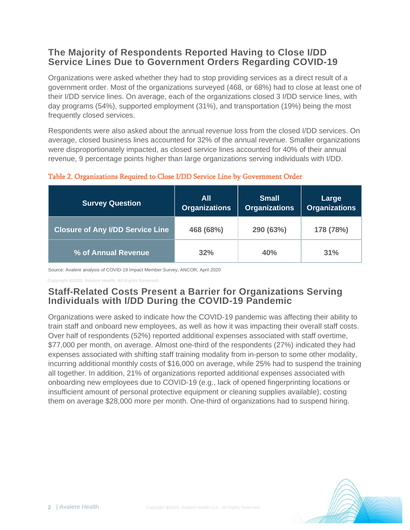## **The Majority of Respondents Reported Having to Close I/DD Service Lines Due to Government Orders Regarding COVID-19**

Organizations were asked whether they had to stop providing services as a direct result of a government order. Most of the organizations surveyed (468, or 68%) had to close at least one of their I/DD service lines. On average, each of the organizations closed 3 I/DD service lines, with day programs (54%), supported employment (31%), and transportation (19%) being the most frequently closed services.

Respondents were also asked about the annual revenue loss from the closed I/DD services. On average, closed business lines accounted for 32% of the annual revenue. Smaller organizations were disproportionately impacted, as closed service lines accounted for 40% of their annual revenue, 9 percentage points higher than large organizations serving individuals with I/DD.

| <b>Survey Question</b>                  | <b>All</b><br><b>Organizations</b> | <b>Small</b><br><b>Organizations</b> |           |
|-----------------------------------------|------------------------------------|--------------------------------------|-----------|
| <b>Closure of Any I/DD Service Line</b> | 468 (68%)                          | 290 (63%)                            | 178 (78%) |
| % of Annual Revenue                     | 32%                                | 40%                                  | 31%       |

#### Table 2. Organizations Required to Close I/DD Service Line by Government Order

Source: Avalere analysis of COVID-19 Impact Member Survey, ANCOR, April 2020

**Copyright 2020. Avalere Health. All Rights Reserved.**

## **Staff-Related Costs Present a Barrier for Organizations Serving Individuals with I/DD During the COVID-19 Pandemic**

Organizations were asked to indicate how the COVID-19 pandemic was affecting their ability to train staff and onboard new employees, as well as how it was impacting their overall staff costs. Over half of respondents (52%) reported additional expenses associated with staff overtime, \$77,000 per month, on average. Almost one-third of the respondents (27%) indicated they had expenses associated with shifting staff training modality from in-person to some other modality, incurring additional monthly costs of \$16,000 on average, while 25% had to suspend the training all together. In addition, 21% of organizations reported additional expenses associated with onboarding new employees due to COVID-19 (e.g., lack of opened fingerprinting locations or insufficient amount of personal protective equipment or cleaning supplies available), costing them on average \$28,000 more per month. One-third of organizations had to suspend hiring.

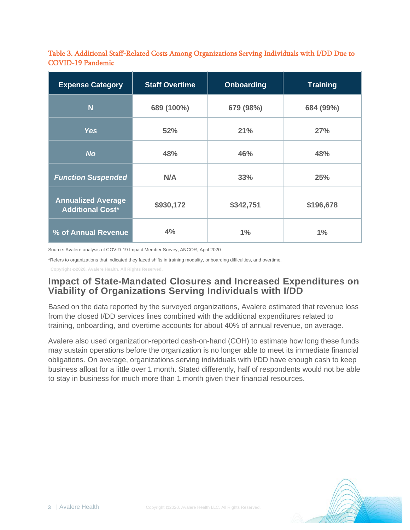Table 3. Additional Staff-Related Costs Among Organizations Serving Individuals with I/DD Due to COVID-19 Pandemic

| <b>Expense Category</b>                              | <b>Staff Overtime</b> | <b>Onboarding</b> | <b>Training</b> |
|------------------------------------------------------|-----------------------|-------------------|-----------------|
| N                                                    | 689 (100%)            | 679 (98%)         | 684 (99%)       |
| <b>Yes</b>                                           | 52%                   | 21%               | 27%             |
| <b>No</b>                                            | 48%                   | 46%               | 48%             |
| <b>Function Suspended</b>                            | N/A                   | 33%               | 25%             |
| <b>Annualized Average</b><br><b>Additional Cost*</b> | \$930,172             | \$342,751         | \$196,678       |
| % of Annual Revenue                                  | 4%                    | $1\%$             | $1\%$           |

Source: Avalere analysis of COVID-19 Impact Member Survey, ANCOR, April 2020

\*Refers to organizations that indicated they faced shifts in training modality, onboarding difficulties, and overtime.

**Copyright 2020. Avalere Health. All Rights Reserved.**

### **Impact of State-Mandated Closures and Increased Expenditures on Viability of Organizations Serving Individuals with I/DD**

Based on the data reported by the surveyed organizations, Avalere estimated that revenue loss from the closed I/DD services lines combined with the additional expenditures related to training, onboarding, and overtime accounts for about 40% of annual revenue, on average.

Avalere also used organization-reported cash-on-hand (COH) to estimate how long these funds may sustain operations before the organization is no longer able to meet its immediate financial obligations. On average, organizations serving individuals with I/DD have enough cash to keep business afloat for a little over 1 month. Stated differently, half of respondents would not be able to stay in business for much more than 1 month given their financial resources.

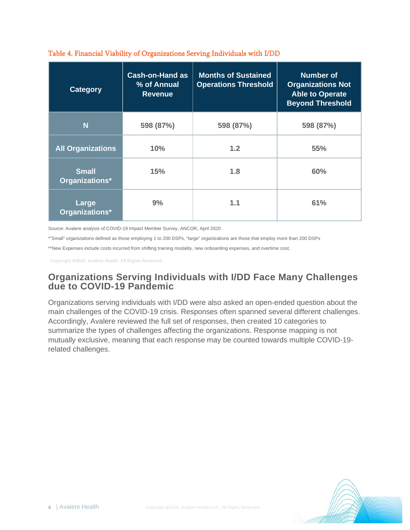| <b>Category</b>                | <b>Cash-on-Hand as</b><br>% of Annual<br><b>Revenue</b> | <b>Months of Sustained</b><br><b>Operations Threshold</b> | <b>Number of</b><br><b>Organizations Not</b><br><b>Able to Operate</b><br><b>Beyond Threshold</b> |
|--------------------------------|---------------------------------------------------------|-----------------------------------------------------------|---------------------------------------------------------------------------------------------------|
| N                              | 598 (87%)                                               | 598 (87%)                                                 | 598 (87%)                                                                                         |
| <b>All Organizations</b>       | 10%                                                     | 1.2                                                       | <b>55%</b>                                                                                        |
| <b>Small</b><br>Organizations* | 15%                                                     | 1.8                                                       | 60%                                                                                               |
| Large<br>Organizations*        | 9%                                                      | 1.1                                                       | 61%                                                                                               |

#### Table 4. Financial Viability of Organizations Serving Individuals with I/DD

Source: Avalere analysis of COVID-19 Impact Member Survey, ANCOR, April 2020

\*"Small" organizations defined as those employing 1 to 200 DSPs, "large" organizations are those that employ more than 200 DSPs

\*\*New Expenses include costs incurred from shifting training modality, new onboarding expenses, and overtime cost.

**Copyright 2020. Avalere Health. All Rights Reserved.**

## **Organizations Serving Individuals with I/DD Face Many Challenges due to COVID-19 Pandemic**

Organizations serving individuals with I/DD were also asked an open-ended question about the main challenges of the COVID-19 crisis. Responses often spanned several different challenges. Accordingly, Avalere reviewed the full set of responses, then created 10 categories to summarize the types of challenges affecting the organizations. Response mapping is not mutually exclusive, meaning that each response may be counted towards multiple COVID-19 related challenges.